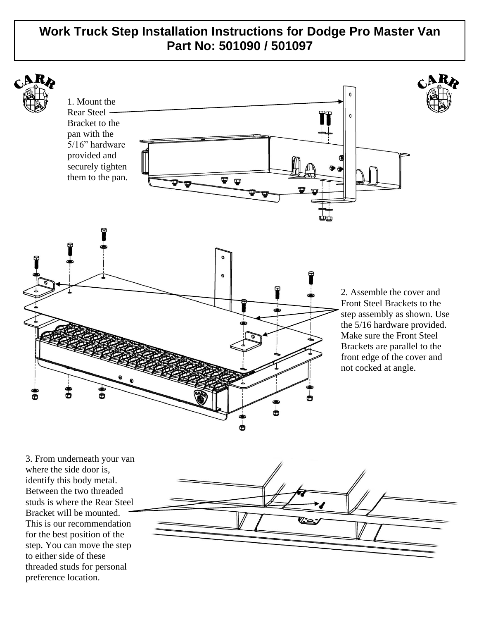# **Work Truck Step Installation Instructions for Dodge Pro Master Van Part No: 501090 / 501097**



3. From underneath your van where the side door is, identify this body metal. Between the two threaded studs is where the Rear Steel Bracket will be mounted. This is our recommendation for the best position of the step. You can move the step to either side of these threaded studs for personal preference location.

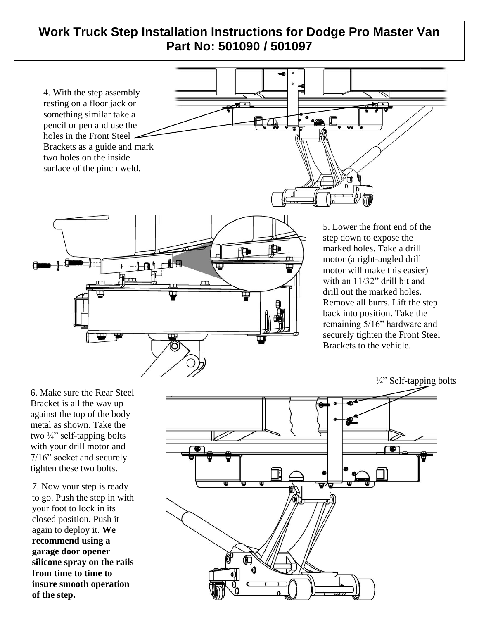# **Work Truck Step Installation Instructions for Dodge Pro Master Van Part No: 501090 / 501097**



motor will make this easier) with an 11/32" drill bit and drill out the marked holes. Remove all burrs. Lift the step back into position. Take the remaining 5/16" hardware and securely tighten the Front Steel Brackets to the vehicle.

 $\frac{1}{4}$ " Self-tapping bolts

6. Make sure the Rear Steel Bracket is all the way up against the top of the body metal as shown. Take the two  $\frac{1}{4}$ " self-tapping bolts with your drill motor and 7/16" socket and securely tighten these two bolts.

7. Now your step is ready to go. Push the step in with your foot to lock in its closed position. Push it again to deploy it. **We recommend using a garage door opener silicone spray on the rails from time to time to insure smooth operation of the step.**